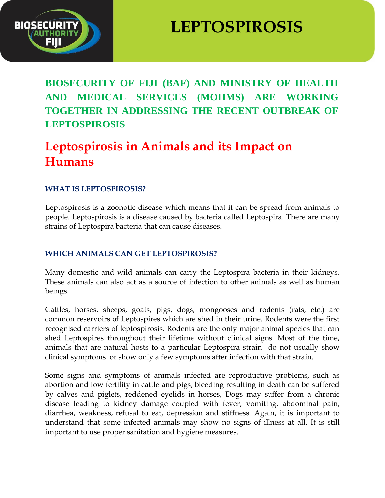

# **LEPTOSPIROSIS**

**BIOSECURITY OF FIJI (BAF) AND MINISTRY OF HEALTH AND MEDICAL SERVICES (MOHMS) ARE WORKING TOGETHER IN ADDRESSING THE RECENT OUTBREAK OF LEPTOSPIROSIS**

# **Leptospirosis in Animals and its Impact on Humans**

#### **WHAT IS LEPTOSPIROSIS?**

Leptospirosis is a zoonotic disease which means that it can be spread from animals to people. Leptospirosis is a disease caused by bacteria called Leptospira. There are many strains of Leptospira bacteria that can cause diseases.

#### **WHICH ANIMALS CAN GET LEPTOSPIROSIS?**

Many domestic and wild animals can carry the Leptospira bacteria in their kidneys. These animals can also act as a source of infection to other animals as well as human beings.

Cattles, horses, sheeps, goats, pigs, dogs, mongooses and rodents (rats, etc.) are common reservoirs of Leptospires which are shed in their urine. Rodents were the first recognised carriers of leptospirosis. Rodents are the only major animal species that can shed Leptospires throughout their lifetime without clinical signs. Most of the time, animals that are natural hosts to a particular Leptospira strain do not usually show clinical symptoms or show only a few symptoms after infection with that strain.

Some signs and symptoms of animals infected are reproductive problems, such as abortion and low fertility in cattle and pigs, bleeding resulting in death can be suffered by calves and piglets, reddened eyelids in horses, Dogs may suffer from a chronic disease leading to kidney damage coupled with fever, vomiting, abdominal pain, diarrhea, weakness, refusal to eat, depression and stiffness. Again, it is important to understand that some infected animals may show no signs of illness at all. It is still important to use proper sanitation and hygiene measures.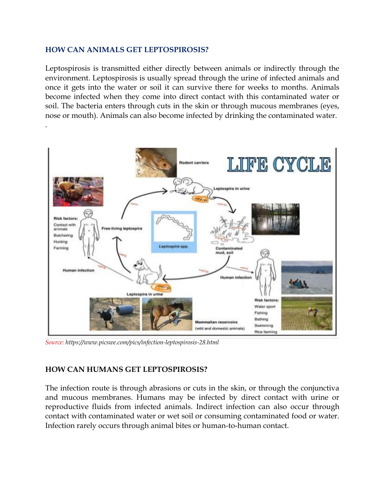#### **HOW CAN ANIMALS GET LEPTOSPIROSIS?**

.

Leptospirosis is transmitted either directly between animals or indirectly through the environment. Leptospirosis is usually spread through the urine of infected animals and once it gets into the water or soil it can survive there for weeks to months. Animals become infected when they come into direct contact with this contaminated water or soil. The bacteria enters through cuts in the skin or through mucous membranes (eyes, nose or mouth). Animals can also become infected by drinking the contaminated water.



*Source: https://www.picswe.com/pics/infection-leptospirosis-28.html*

#### **HOW CAN HUMANS GET LEPTOSPIROSIS?**

The infection route is through abrasions or cuts in the skin, or through the conjunctiva and mucous membranes. Humans may be infected by direct contact with urine or reproductive fluids from infected animals. Indirect infection can also occur through contact with contaminated water or wet soil or consuming contaminated food or water. Infection rarely occurs through animal bites or human-to-human contact.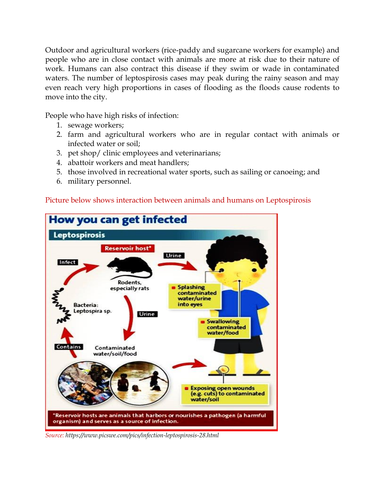Outdoor and agricultural workers (rice-paddy and sugarcane workers for example) and people who are in close contact with animals are more at risk due to their nature of work. Humans can also contract this disease if they swim or wade in contaminated waters. The number of leptospirosis cases may peak during the rainy season and may even reach very high proportions in cases of flooding as the floods cause rodents to move into the city.

People who have high risks of infection:

- 1. sewage workers;
- 2. farm and agricultural workers who are in regular contact with animals or infected water or soil;
- 3. pet shop/ clinic employees and veterinarians;
- 4. abattoir workers and meat handlers;
- 5. those involved in recreational water sports, such as sailing or canoeing; and
- 6. military personnel.



#### Picture below shows interaction between animals and humans on Leptospirosis

*Source: https://www.picswe.com/pics/infection-leptospirosis-28.html*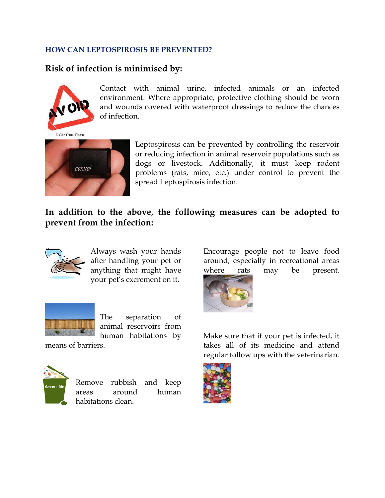#### **HOW CAN LEPTOSPIROSIS BE PREVENTED?**

### **Risk of infection is minimised by:**



Contact with animal urine, infected animals or an infected environment. Where appropriate, protective clothing should be worn and wounds covered with waterproof dressings to reduce the chances of infection.



Leptospirosis can be prevented by controlling the reservoir or reducing infection in animal reservoir populations such as dogs or livestock. Additionally, it must keep rodent problems (rats, mice, etc.) under control to prevent the spread Leptospirosis infection.

## **In addition to the above, the following measures can be adopted to prevent from the infection:**



Always wash your hands after handling your pet or anything that might have your pet's excrement on it.



The separation of animal reservoirs from human habitations by

means of barriers.



Remove rubbish and keep areas around human habitations clean.

Encourage people not to leave food around, especially in recreational areas where rats may be present.



Make sure that if your pet is infected, it takes all of its medicine and attend regular follow ups with the veterinarian.

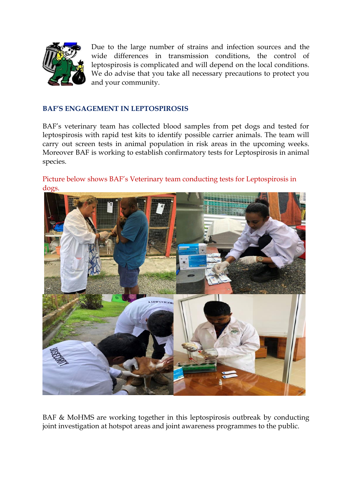

Due to the large number of strains and infection sources and the wide differences in transmission conditions, the control of leptospirosis is complicated and will depend on the local conditions. We do advise that you take all necessary precautions to protect you and your community.

#### **BAF'S ENGAGEMENT IN LEPTOSPIROSIS**

BAF's veterinary team has collected blood samples from pet dogs and tested for leptospirosis with rapid test kits to identify possible carrier animals. The team will carry out screen tests in animal population in risk areas in the upcoming weeks. Moreover BAF is working to establish confirmatory tests for Leptospirosis in animal species.

#### Picture below shows BAF's Veterinary team conducting tests for Leptospirosis in dogs.



BAF & MoHMS are working together in this leptospirosis outbreak by conducting joint investigation at hotspot areas and joint awareness programmes to the public.